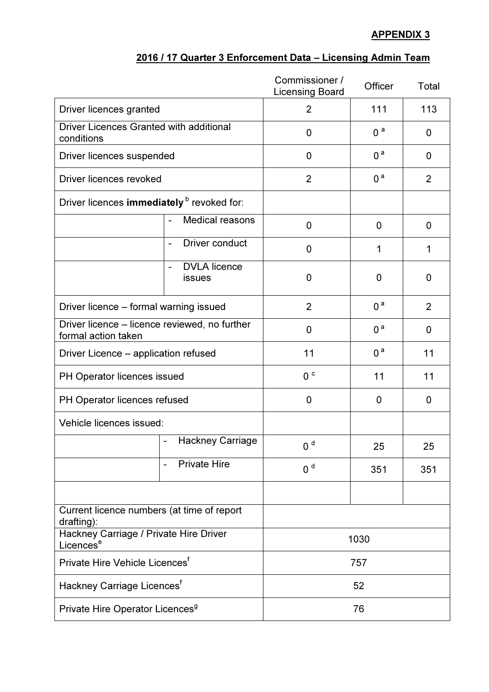## APPENDIX 3

|  |  |  |  | 2016 / 17 Quarter 3 Enforcement Data – Licensing Admin Team |  |  |  |  |
|--|--|--|--|-------------------------------------------------------------|--|--|--|--|
|--|--|--|--|-------------------------------------------------------------|--|--|--|--|

|                                                                      |                                         | Commissioner /<br><b>Licensing Board</b> | Officer        | Total          |
|----------------------------------------------------------------------|-----------------------------------------|------------------------------------------|----------------|----------------|
| Driver licences granted                                              | $\overline{2}$                          | 111                                      | 113            |                |
| <b>Driver Licences Granted with additional</b><br>conditions         |                                         | 0                                        | 0 <sup>a</sup> | 0              |
| Driver licences suspended                                            |                                         | $\mathbf 0$                              | 0 <sup>a</sup> | 0              |
| Driver licences revoked                                              | $\overline{2}$                          | 0 <sup>a</sup>                           | $\overline{2}$ |                |
| Driver licences immediately b revoked for:                           |                                         |                                          |                |                |
|                                                                      | <b>Medical reasons</b>                  | 0                                        | 0              | 0              |
|                                                                      | <b>Driver conduct</b><br>$\blacksquare$ | 0                                        | 1              | 1              |
|                                                                      | <b>DVLA</b> licence<br><b>issues</b>    | 0                                        | 0              | 0              |
| Driver licence - formal warning issued                               |                                         | $\overline{2}$                           | 0 <sup>a</sup> | $\overline{2}$ |
| Driver licence - licence reviewed, no further<br>formal action taken | $\mathbf 0$                             | 0 <sup>a</sup>                           | 0              |                |
| Driver Licence – application refused                                 | 11                                      | 0 <sup>a</sup>                           | 11             |                |
| PH Operator licences issued                                          | 0 <sup>c</sup>                          | 11                                       | 11             |                |
| PH Operator licences refused                                         | $\mathbf 0$                             | 0                                        | 0              |                |
| Vehicle licences issued:                                             |                                         |                                          |                |                |
|                                                                      | <b>Hackney Carriage</b>                 | 0 <sup>d</sup>                           | 25             | 25             |
|                                                                      | <b>Private Hire</b>                     | 0 <sup>d</sup>                           | 351            | 351            |
|                                                                      |                                         |                                          |                |                |
| Current licence numbers (at time of report<br>drafting):             |                                         |                                          |                |                |
| Hackney Carriage / Private Hire Driver<br>Licences <sup>e</sup>      | 1030                                    |                                          |                |                |
| Private Hire Vehicle Licences <sup>f</sup>                           | 757                                     |                                          |                |                |
| Hackney Carriage Licences <sup>t</sup>                               | 52                                      |                                          |                |                |
| Private Hire Operator Licences <sup>9</sup>                          | 76                                      |                                          |                |                |